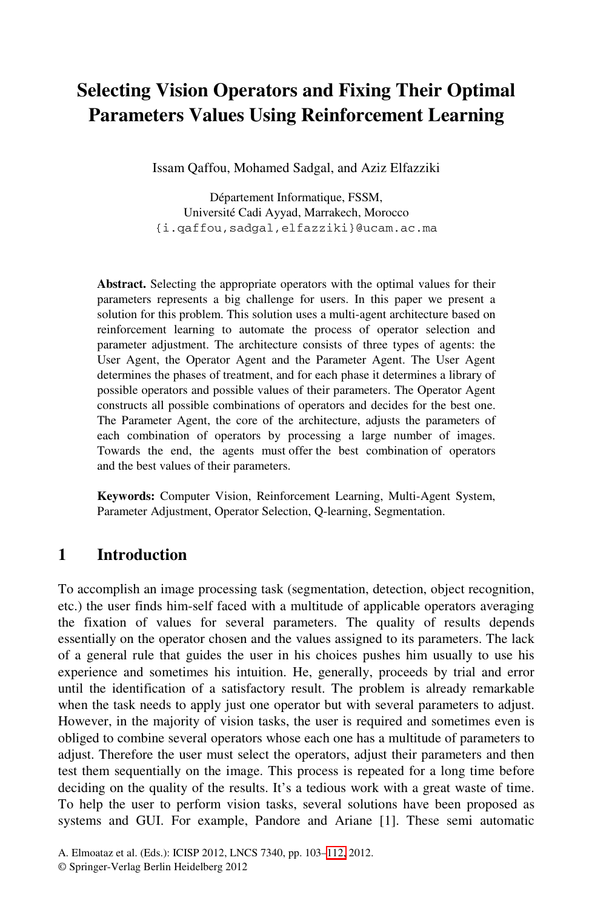# **Selecting Vision Operators and Fixing Their Optimal Parameters Values Using Reinforcement Learning**

Issam Qaffou, Mohamed Sadgal, and Aziz Elfazziki

Département Informatique, FSSM, Université Cadi Ayyad, Marrakech, Morocco {i.qaffou,sadgal,elfazziki}@ucam.ac.ma

**Abstract.** Selecting the appropriate operators with the optimal values for their parameters represents a big challenge for users. In this paper we present a solution for this problem. This solution uses a multi-agent architecture based on reinforcement learning to automate the process of operator selection and parameter adjustment. The architecture consists of three types of agents: the User Agent, the Operator Agent and the Parameter Agent. The User Agent determines the phases of treatment, and for each phase it determines a library of possible operators and possible values of their parameters. The Operator Agent constructs all possible combinations of operators and decides for the best one. The Parameter Agent, the core of the architecture, adjusts the parameters of each combination of operators by processing a large number of images. Towards the end, the agents must offer the best combination of operators and the best values of their parameters.

**Keywords:** Computer Vision, Reinforcement Learning, Multi-Agent System, Parameter Adjustment, Operator Selection, Q-learning, Segmentation.

### **1 Introduction**

To accomplish an image processing task (segmentation, detection, object recognition, etc.) the user finds him-self faced with a multitude of applicable operators averaging the fixation of values for several parameters. The quality of results depends essentially on the operator chosen and the values assigned to its parameters. The lack of a general rule that guides the user in his choices pushes him usually to use his experience and sometimes his intuition. He, generally, proceeds by trial and error until the identification of a satisfactory result. The problem is already remarkable when the task needs to apply just one operator but with several parameters to adjust. However, in the majority of vision tasks, the user is required and sometimes even is obliged to combine several operators whose each one has a multitude of parameters to adjust. Therefore the user must select the operators, adjust their parameters and then test them sequentially on the image. This process is repeated for a long time before deciding on the quality of the results. It's a tedious work with a great waste of time. To help the user to perform vision tasks, several solutions have been proposed as systems and GUI. For example, Pandore and Ariane [1]. These semi automatic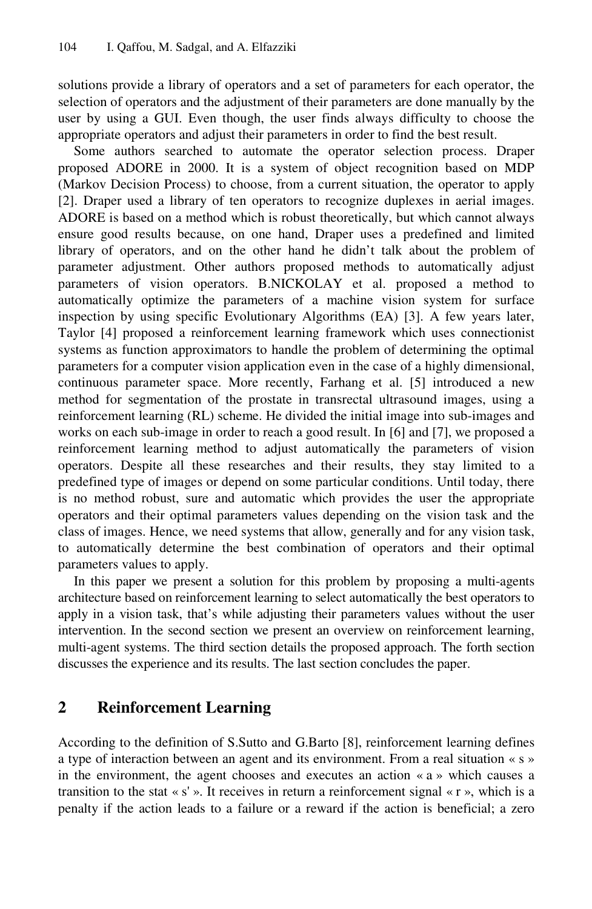solutions provide a library of operators and a set of parameters for each operator, the selection of operators and the adjustment of their parameters are done manually by the user by using a GUI. Even though, the user finds always difficulty to choose the appropriate operators and adjust their parameters in order to find the best result.

Some authors searched to automate the operator selection process. Draper proposed ADORE in 2000. It is a system of object recognition based on MDP (Markov Decision Process) to choose, from a current situation, the operator to apply [2]. Draper used a library of ten operators to recognize duplexes in aerial images. ADORE is based on a method which is robust theoretically, but which cannot always ensure good results because, on one hand, Draper uses a predefined and limited library of operators, and on the other hand he didn't talk about the problem of parameter adjustment. Other authors proposed methods to automatically adjust parameters of vision operators. B.NICKOLAY et al. proposed a method to automatically optimize the parameters of a machine vision system for surface inspection by using specific Evolutionary Algorithms (EA) [3]. A few years later, Taylor [4] proposed a reinforcement learning framework which uses connectionist systems as function approximators to handle the problem of determining the optimal parameters for a computer vision application even in the case of a highly dimensional, continuous parameter space. More recently, Farhang et al. [5] introduced a new method for segmentation of the prostate in transrectal ultrasound images, using a reinforcement learning (RL) scheme. He divided the initial image into sub-images and works on each sub-image in order to reach a good result. In [6] and [7], we proposed a reinforcement learning method to adjust automatically the parameters of vision operators. Despite all these researches and their results, they stay limited to a predefined type of images or depend on some particular conditions. Until today, there is no method robust, sure and automatic which provides the user the appropriate operators and their optimal parameters values depending on the vision task and the class of images. Hence, we need systems that allow, generally and for any vision task, to automatically determine the best combination of operators and their optimal parameters values to apply.

In this paper we present a solution for this problem by proposing a multi-agents architecture based on reinforcement learning to select automatically the best operators to apply in a vision task, that's while adjusting their parameters values without the user intervention. In the second section we present an overview on reinforcement learning, multi-agent systems. The third section details the proposed approach. The forth section discusses the experience and its results. The last section concludes the paper.

### **2 Reinforcement Learning**

According to the definition of S.Sutto and G.Barto [8], reinforcement learning defines a type of interaction between an agent and its environment. From a real situation « s » in the environment, the agent chooses and executes an action « a » which causes a transition to the stat « $s'$ ». It receives in return a reinforcement signal « $r$ », which is a penalty if the action leads to a failure or a reward if the action is beneficial; a zero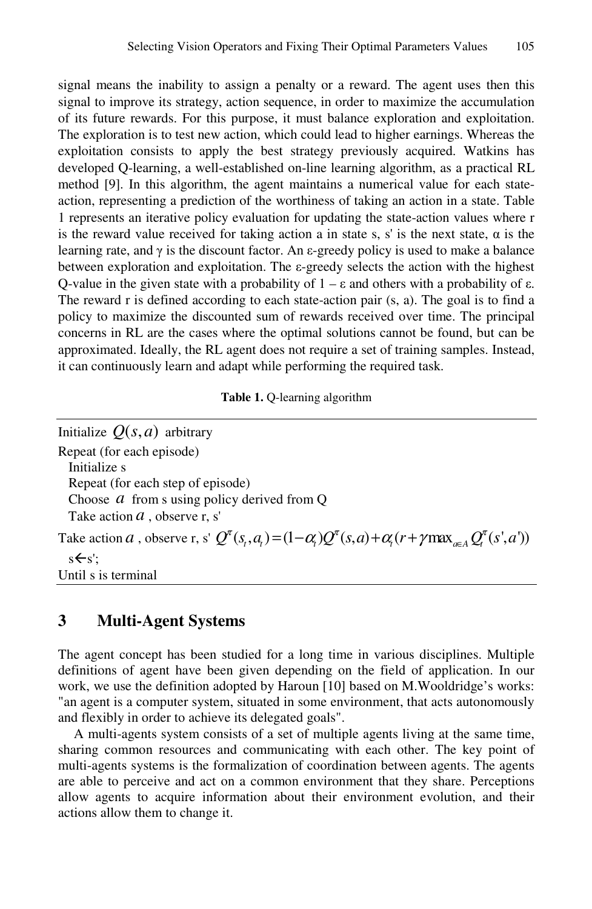signal means the inability to assign a penalty or a reward. The agent uses then this signal to improve its strategy, action sequence, in order to maximize the accumulation of its future rewards. For this purpose, it must balance exploration and exploitation. The exploration is to test new action, which could lead to higher earnings. Whereas the exploitation consists to apply the best strategy previously acquired. Watkins has developed Q-learning, a well-established on-line learning algorithm, as a practical RL method [9]. In this algorithm, the agent maintains a numerical value for each stateaction, representing a prediction of the worthiness of taking an action in a state. Table 1 represents an iterative policy evaluation for updating the state-action values where r is the reward value received for taking action a in state s, s' is the next state,  $\alpha$  is the learning rate, and  $\gamma$  is the discount factor. An  $\varepsilon$ -greedy policy is used to make a balance between exploration and exploitation. The ε-greedy selects the action with the highest Q-value in the given state with a probability of  $1 - \varepsilon$  and others with a probability of  $\varepsilon$ . The reward r is defined according to each state-action pair (s, a). The goal is to find a policy to maximize the discounted sum of rewards received over time. The principal concerns in RL are the cases where the optimal solutions cannot be found, but can be approximated. Ideally, the RL agent does not require a set of training samples. Instead, it can continuously learn and adapt while performing the required task.

|  |  |  | <b>Table 1.</b> Q-learning algorithm |
|--|--|--|--------------------------------------|
|--|--|--|--------------------------------------|

| Initialize $Q(s, a)$ arbitrary                                                                                                        |
|---------------------------------------------------------------------------------------------------------------------------------------|
| Repeat (for each episode)                                                                                                             |
| Initialize s                                                                                                                          |
| Repeat (for each step of episode)                                                                                                     |
| Choose $a$ from s using policy derived from Q                                                                                         |
| Take action $a$ , observe r, s'                                                                                                       |
| Take action <i>a</i> , observe r, s' $Q^{\pi}(s, a) = (1 - \alpha)Q^{\pi}(s, a) + \alpha (r + \gamma \max_{a \in A} Q^{\pi}(s', a'))$ |
| $s \leftarrow s$ :                                                                                                                    |
| Until s is terminal                                                                                                                   |
|                                                                                                                                       |

### **3 Multi-Agent Systems**

The agent concept has been studied for a long time in various disciplines. Multiple definitions of agent have been given depending on the field of application. In our work, we use the definition adopted by Haroun [10] based on M.Wooldridge's works: "an agent is a computer system, situated in some environment, that acts autonomously and flexibly in order to achieve its delegated goals".

A multi-agents system consists of a set of multiple agents living at the same time, sharing common resources and communicating with each other. The key point of multi-agents systems is the formalization of coordination between agents. The agents are able to perceive and act on a common environment that they share. Perceptions allow agents to acquire information about their environment evolution, and their actions allow them to change it.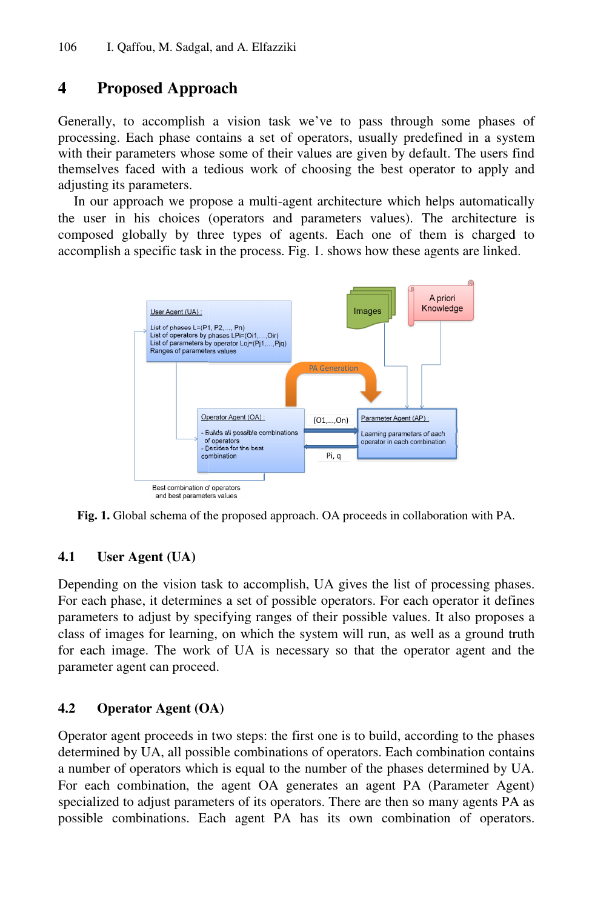## **4 Proposed Appro oach**

Generally, to accomplish a vision task we've to pass through some phases of processing. Each phase contains a set of operators, usually predefined in a system with their parameters whose some of their values are given by default. The users find themselves faced with a tedious work of choosing the best operator to apply and adjusting its parameters.

In our approach we propose a multi-agent architecture which helps automatically the user in his choices (operators and parameters values). The architecture is composed globally by three types of agents. Each one of them is charged to accomplish a specific task in the process. Fig. 1. shows how these agents are linked.



Fig. 1. Global schema of the proposed approach. OA proceeds in collaboration with PA.

#### **4.1 User Agent (UA)**

Fig. 1. Global schema of the proposed approach. OA proceeds in collaboration with PA.<br>
4.1 User Agent (UA)<br>
Depending on the vision task to accomplish, UA gives the list of processing phases. For each phase, it determines a set of possible operators. For each operator it defines parameters to adjust by specifying ranges of their possible values. It also proposes a class of images for learning, on which the system will run, as well as a ground truth for each image. The work of UA is necessary so that the operator agent and the parameter agent can proceed.

#### **4.2 Operator Agent (OA)**

Operator agent proceeds in two steps: the first one is to build, according to the phases determined by UA, all possible combinations of operators. Each combination contains a number of operators which is equal to the number of the phases determined by UA. For each combination, the agent OA generates an agent PA (Parameter Agent) specialized to adjust parameters of its operators. There are then so many agents PA as possible combinations. Each agent PA has its own combination of operators.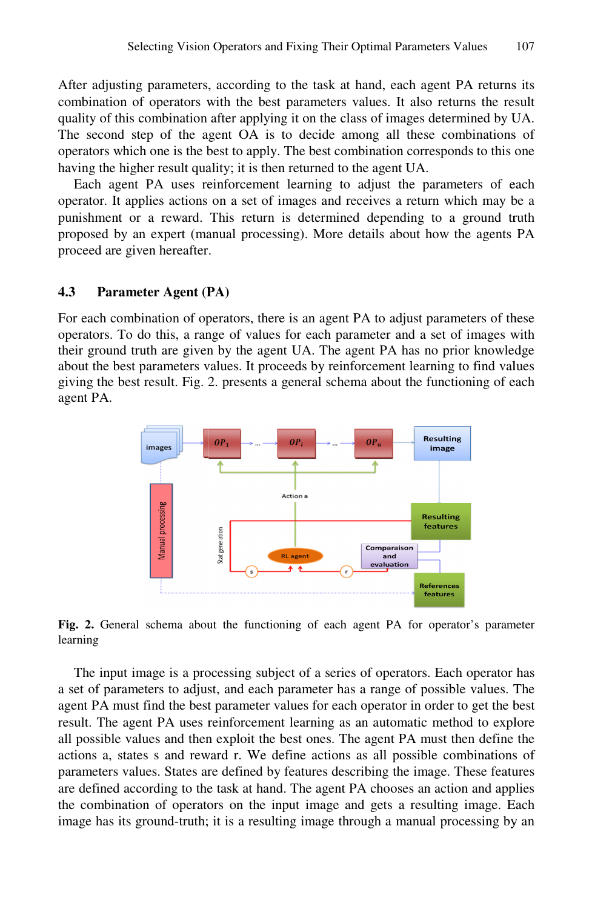After adjusting parameters, according to the task at hand, each agent PA returns its combination of operators with the best parameters values. It also returns the result quality of this combination after applying it on the class of images determined by U UA. The second step of the agent OA is to decide among all these combinations of operators which one is the b best to apply. The best combination corresponds to this one having the higher result quality; it is then returned to the agent UA.

Each agent PA uses reinforcement learning to adjust the parameters of each operator. It applies actions on a set of images and receives a return which may b be a punishment or a reward. This return is determined depending to a ground truth proposed by an expert (manual processing). More details about how the agents PA proceed are given hereafter .

#### **4.3** Parameter Agent (PA)

For each combination of operators, there is an agent PA to adjust parameters of these operators. To do this, a range of values for each parameter and a set of images with their ground truth are given by the agent UA. The agent PA has no prior knowledge about the best parameters values. It proceeds by reinforcement learning to find values giving the best result. Fig. 2. presents a general schema about the functioning of each agent PA.



Fig. 2. General schema about the functioning of each agent PA for operator's parameter learning

The input image is a processing subject of a series of operators. Each operator has a set of parameters to adjust, and each parameter has a range of possible values. The agent PA must find the best parameter values for each operator in order to get the best result. The agent PA uses reinforcement learning as an automatic method to explore all possible values and then exploit the best ones. The agent PA must then define the actions a, states s and reward r. We define actions as all possible combinations of parameters values. States are defined by features describing the image. These features are defined according to the task at hand. The agent PA chooses an action and applies the combination of operators on the input image and gets a resulting image. Each image has its ground-truth; it is a resulting image through a manual processing by an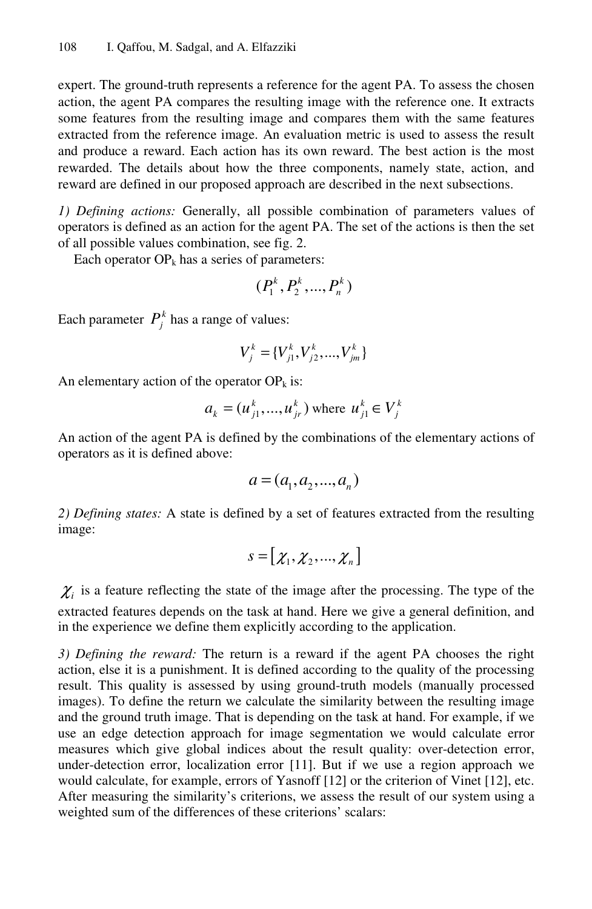expert. The ground-truth represents a reference for the agent PA. To assess the chosen action, the agent PA compares the resulting image with the reference one. It extracts some features from the resulting image and compares them with the same features extracted from the reference image. An evaluation metric is used to assess the result and produce a reward. Each action has its own reward. The best action is the most rewarded. The details about how the three components, namely state, action, and reward are defined in our proposed approach are described in the next subsections.

*1) Defining actions:* Generally, all possible combination of parameters values of operators is defined as an action for the agent PA. The set of the actions is then the set of all possible values combination, see fig. 2.

Each operator  $OP_k$  has a series of parameters:

$$
(P_1^k, P_2^k, ..., P_n^k)
$$

Each parameter  $P_i^k$  has a range of values:

$$
V_j^k = \{V_{j1}^k, V_{j2}^k, ..., V_{jm}^k\}
$$

An elementary action of the operator  $OP_k$  is:

$$
a_k = (u_{j1}^k, ..., u_{jr}^k)
$$
 where  $u_{j1}^k \in V_j^k$ 

An action of the agent PA is defined by the combinations of the elementary actions of operators as it is defined above:

$$
a = (a_1, a_2, ..., a_n)
$$

*2) Defining states:* A state is defined by a set of features extracted from the resulting image:

$$
s = [\chi_1, \chi_2, ..., \chi_n]
$$

 $\chi$ <sub>i</sub> is a feature reflecting the state of the image after the processing. The type of the extracted features depends on the task at hand. Here we give a general definition, and in the experience we define them explicitly according to the application.

*3) Defining the reward:* The return is a reward if the agent PA chooses the right action, else it is a punishment. It is defined according to the quality of the processing result. This quality is assessed by using ground-truth models (manually processed images). To define the return we calculate the similarity between the resulting image and the ground truth image. That is depending on the task at hand. For example, if we use an edge detection approach for image segmentation we would calculate error measures which give global indices about the result quality: over-detection error, under-detection error, localization error [11]. But if we use a region approach we would calculate, for example, errors of Yasnoff [12] or the criterion of Vinet [12], etc. After measuring the similarity's criterions, we assess the result of our system using a weighted sum of the differences of these criterions' scalars: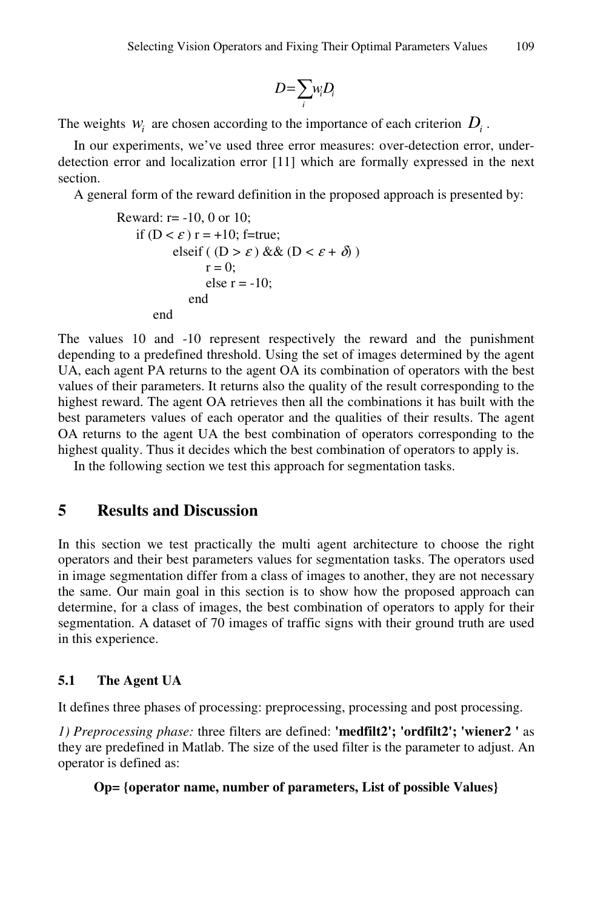$$
D=\sum_i w_i D_i
$$

The weights  $w_i$  are chosen according to the importance of each criterion  $D_i$ .

In our experiments, we've used three error measures: over-detection error, underdetection error and localization error [11] which are formally expressed in the next section.

A general form of the reward definition in the proposed approach is presented by:

```
Reward: r= -10, 0 or 10; 
    if (D < \varepsilon) r = +10; f=true;
             elseif ( (D > \varepsilon) && (D < \varepsilon + \delta) )
                     r = 0;
                     else r = -10;
                  end 
          end
```
The values 10 and -10 represent respectively the reward and the punishment depending to a predefined threshold. Using the set of images determined by the agent UA, each agent PA returns to the agent OA its combination of operators with the best values of their parameters. It returns also the quality of the result corresponding to the highest reward. The agent OA retrieves then all the combinations it has built with the best parameters values of each operator and the qualities of their results. The agent OA returns to the agent UA the best combination of operators corresponding to the highest quality. Thus it decides which the best combination of operators to apply is.

In the following section we test this approach for segmentation tasks.

### **5 Results and Discussion**

In this section we test practically the multi agent architecture to choose the right operators and their best parameters values for segmentation tasks. The operators used in image segmentation differ from a class of images to another, they are not necessary the same. Our main goal in this section is to show how the proposed approach can determine, for a class of images, the best combination of operators to apply for their segmentation. A dataset of 70 images of traffic signs with their ground truth are used in this experience.

### **5.1 The Agent UA**

It defines three phases of processing: preprocessing, processing and post processing.

*1) Preprocessing phase:* three filters are defined: **'medfilt2'; 'ordfilt2'; 'wiener2 '** as they are predefined in Matlab. The size of the used filter is the parameter to adjust. An operator is defined as:

#### **Op= {operator name, number of parameters, List of possible Values}**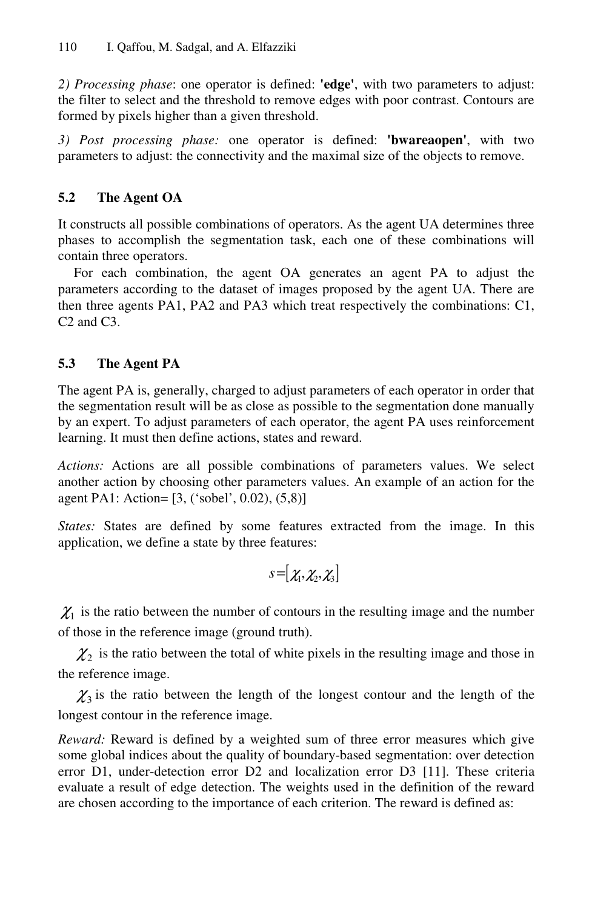*2) Processing phase*: one operator is defined: **'edge'**, with two parameters to adjust: the filter to select and the threshold to remove edges with poor contrast. Contours are formed by pixels higher than a given threshold.

*3) Post processing phase:* one operator is defined: **'bwareaopen'**, with two parameters to adjust: the connectivity and the maximal size of the objects to remove.

### **5.2 The Agent OA**

It constructs all possible combinations of operators. As the agent UA determines three phases to accomplish the segmentation task, each one of these combinations will contain three operators.

For each combination, the agent OA generates an agent PA to adjust the parameters according to the dataset of images proposed by the agent UA. There are then three agents PA1, PA2 and PA3 which treat respectively the combinations: C1, C2 and C3.

### **5.3 The Agent PA**

The agent PA is, generally, charged to adjust parameters of each operator in order that the segmentation result will be as close as possible to the segmentation done manually by an expert. To adjust parameters of each operator, the agent PA uses reinforcement learning. It must then define actions, states and reward.

*Actions:* Actions are all possible combinations of parameters values. We select another action by choosing other parameters values. An example of an action for the agent PA1: Action= [3, ('sobel', 0.02), (5,8)]

*States:* States are defined by some features extracted from the image. In this application, we define a state by three features:

$$
s = [\chi_1, \chi_2, \chi_3]
$$

 $\chi$ <sup>1</sup> is the ratio between the number of contours in the resulting image and the number of those in the reference image (ground truth).

 $\chi_2$  is the ratio between the total of white pixels in the resulting image and those in the reference image.

 $\chi_3$  is the ratio between the length of the longest contour and the length of the longest contour in the reference image.

*Reward:* Reward is defined by a weighted sum of three error measures which give some global indices about the quality of boundary-based segmentation: over detection error D1, under-detection error D2 and localization error D3 [11]. These criteria evaluate a result of edge detection. The weights used in the definition of the reward are chosen according to the importance of each criterion. The reward is defined as: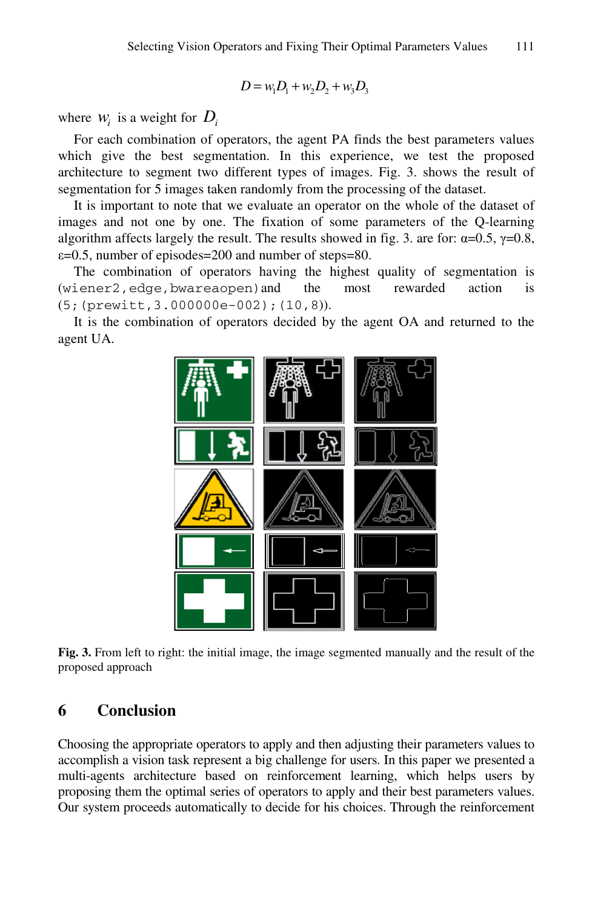$$
D = w_1 D_1 + w_2 D_2 + w_3 D_3
$$

where  $W_i$  is a weight for  $D_i$ 

For each combination of operators, the agent PA finds the best parameters values which give the best segmentation. In this experience, we test the proposed architecture to segment two different types of images. Fig. 3. shows the result of segmentation for 5 images taken randomly from the processing of the dataset.

It is important to note that we evaluate an operator on the whole of the dataset of images and not one by one. The fixation of some parameters of the Q-learning algorithm affects largely the result. The results showed in fig. 3. are for:  $\alpha = 0.5$ ,  $\gamma = 0.8$ ,  $\varepsilon$ =0.5, number of episodes=200 and number of steps=80.

The combination of operators having the highest quality of segmentation is (wiener2,edge,bwareaopen)and the most rewarded action is (5;(prewitt,3.000000e-002);(10,8)).

It is the combination of operators decided by the agent OA and returned to the agent UA.



**Fig. 3.** From left to right: the initial image, the image segmented manually and the result of the proposed approach

#### **6 Conclusion**

Choosing the appropriate operators to apply and then adjusting their parameters values to accomplish a vision task represent a big challenge for users. In this paper we presented a multi-agents architecture based on reinforcement learning, which helps users by proposing them the optimal series of operators to apply and their best parameters values. Our system proceeds automatically to decide for his choices. Through the reinforcement